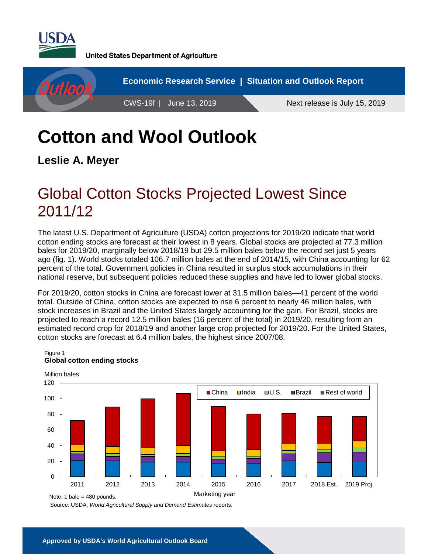

**United States Department of Agriculture** 



# **Cotton and Wool Outlook**

**Leslie A. Meyer**

## Global Cotton Stocks Projected Lowest Since 2011/12

The latest U.S. Department of Agriculture (USDA) cotton projections for 2019/20 indicate that world cotton ending stocks are forecast at their lowest in 8 years. Global stocks are projected at 77.3 million bales for 2019/20, marginally below 2018/19 but 29.5 million bales below the record set just 5 years ago (fig. 1). World stocks totaled 106.7 million bales at the end of 2014/15, with China accounting for 62 percent of the total. Government policies in China resulted in surplus stock accumulations in their national reserve, but subsequent policies reduced these supplies and have led to lower global stocks.

For 2019/20, cotton stocks in China are forecast lower at 31.5 million bales—41 percent of the world total. Outside of China, cotton stocks are expected to rise 6 percent to nearly 46 million bales, with stock increases in Brazil and the United States largely accounting for the gain. For Brazil, stocks are projected to reach a record 12.5 million bales (16 percent of the total) in 2019/20, resulting from an estimated record crop for 2018/19 and another large crop projected for 2019/20. For the United States, cotton stocks are forecast at 6.4 million bales, the highest since 2007/08.



#### Figure 1 **Global cotton ending stocks**

Source: USDA, *World Agricultural Supply and Demand Estimates* reports.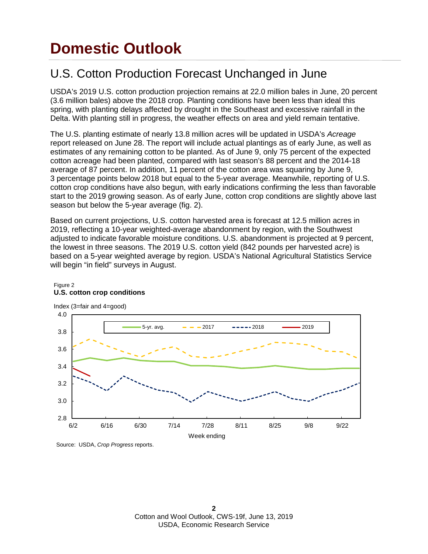## **Domestic Outlook**

### U.S. Cotton Production Forecast Unchanged in June

USDA's 2019 U.S. cotton production projection remains at 22.0 million bales in June, 20 percent (3.6 million bales) above the 2018 crop. Planting conditions have been less than ideal this spring, with planting delays affected by drought in the Southeast and excessive rainfall in the Delta. With planting still in progress, the weather effects on area and yield remain tentative.

The U.S. planting estimate of nearly 13.8 million acres will be updated in USDA's *Acreage* report released on June 28. The report will include actual plantings as of early June, as well as estimates of any remaining cotton to be planted. As of June 9, only 75 percent of the expected cotton acreage had been planted, compared with last season's 88 percent and the 2014-18 average of 87 percent. In addition, 11 percent of the cotton area was squaring by June 9, 3 percentage points below 2018 but equal to the 5-year average. Meanwhile, reporting of U.S. cotton crop conditions have also begun, with early indications confirming the less than favorable start to the 2019 growing season. As of early June, cotton crop conditions are slightly above last season but below the 5-year average (fig. 2).

Based on current projections, U.S. cotton harvested area is forecast at 12.5 million acres in 2019, reflecting a 10-year weighted-average abandonment by region, with the Southwest adjusted to indicate favorable moisture conditions. U.S. abandonment is projected at 9 percent, the lowest in three seasons. The 2019 U.S. cotton yield (842 pounds per harvested acre) is based on a 5-year weighted average by region. USDA's National Agricultural Statistics Service will begin "in field" surveys in August.



#### Figure 2 **U.S. cotton crop conditions**

Source: USDA, *Crop Progress* reports.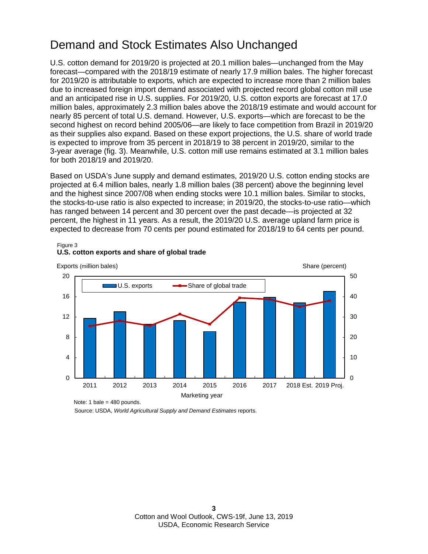### Demand and Stock Estimates Also Unchanged

U.S. cotton demand for 2019/20 is projected at 20.1 million bales—unchanged from the May forecast—compared with the 2018/19 estimate of nearly 17.9 million bales. The higher forecast for 2019/20 is attributable to exports, which are expected to increase more than 2 million bales due to increased foreign import demand associated with projected record global cotton mill use and an anticipated rise in U.S. supplies. For 2019/20, U.S. cotton exports are forecast at 17.0 million bales, approximately 2.3 million bales above the 2018/19 estimate and would account for nearly 85 percent of total U.S. demand. However, U.S. exports—which are forecast to be the second highest on record behind 2005/06—are likely to face competition from Brazil in 2019/20 as their supplies also expand. Based on these export projections, the U.S. share of world trade is expected to improve from 35 percent in 2018/19 to 38 percent in 2019/20, similar to the 3-year average (fig. 3). Meanwhile, U.S. cotton mill use remains estimated at 3.1 million bales for both 2018/19 and 2019/20.

Based on USDA's June supply and demand estimates, 2019/20 U.S. cotton ending stocks are projected at 6.4 million bales, nearly 1.8 million bales (38 percent) above the beginning level and the highest since 2007/08 when ending stocks were 10.1 million bales. Similar to stocks, the stocks-to-use ratio is also expected to increase; in 2019/20, the stocks-to-use ratio—which has ranged between 14 percent and 30 percent over the past decade—is projected at 32 percent, the highest in 11 years. As a result, the 2019/20 U.S. average upland farm price is expected to decrease from 70 cents per pound estimated for 2018/19 to 64 cents per pound.



#### Figure 3 **U.S. cotton exports and share of global trade**

Source: USDA, *World Agricultural Supply and Demand Estimates* reports. Note: 1 bale = 480 pounds.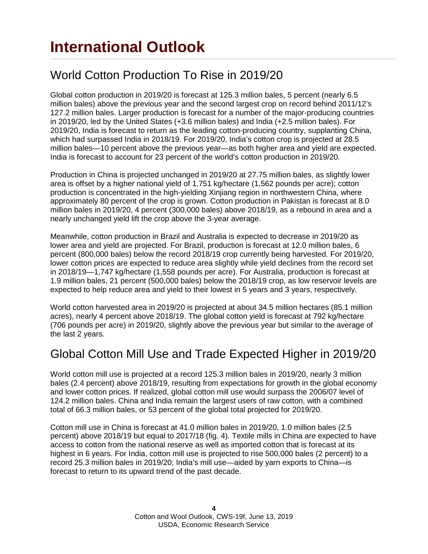### World Cotton Production To Rise in 2019/20

Global cotton production in 2019/20 is forecast at 125.3 million bales, 5 percent (nearly 6.5 million bales) above the previous year and the second largest crop on record behind 2011/12's 127.2 million bales. Larger production is forecast for a number of the major-producing countries in 2019/20, led by the United States (+3.6 million bales) and India (+2.5 million bales). For 2019/20, India is forecast to return as the leading cotton-producing country, supplanting China, which had surpassed India in 2018/19. For 2019/20, India's cotton crop is projected at 28.5 million bales—10 percent above the previous year—as both higher area and yield are expected. India is forecast to account for 23 percent of the world's cotton production in 2019/20.

Production in China is projected unchanged in 2019/20 at 27.75 million bales, as slightly lower area is offset by a higher national yield of 1,751 kg/hectare (1,562 pounds per acre); cotton production is concentrated in the high-yielding Xinjiang region in northwestern China, where approximately 80 percent of the crop is grown. Cotton production in Pakistan is forecast at 8.0 million bales in 2019/20, 4 percent (300,000 bales) above 2018/19, as a rebound in area and a nearly unchanged yield lift the crop above the 3-year average.

Meanwhile, cotton production in Brazil and Australia is expected to decrease in 2019/20 as lower area and yield are projected. For Brazil, production is forecast at 12.0 million bales, 6 percent (800,000 bales) below the record 2018/19 crop currently being harvested. For 2019/20, lower cotton prices are expected to reduce area slightly while yield declines from the record set in 2018/19—1,747 kg/hectare (1,558 pounds per acre). For Australia, production is forecast at 1.9 million bales, 21 percent (500,000 bales) below the 2018/19 crop, as low reservoir levels are expected to help reduce area and yield to their lowest in 5 years and 3 years, respectively.

World cotton harvested area in 2019/20 is projected at about 34.5 million hectares (85.1 million acres), nearly 4 percent above 2018/19. The global cotton yield is forecast at 792 kg/hectare (706 pounds per acre) in 2019/20, slightly above the previous year but similar to the average of the last 2 years.

### Global Cotton Mill Use and Trade Expected Higher in 2019/20

World cotton mill use is projected at a record 125.3 million bales in 2019/20, nearly 3 million bales (2.4 percent) above 2018/19, resulting from expectations for growth in the global economy and lower cotton prices. If realized, global cotton mill use would surpass the 2006/07 level of 124.2 million bales. China and India remain the largest users of raw cotton, with a combined total of 66.3 million bales, or 53 percent of the global total projected for 2019/20.

Cotton mill use in China is forecast at 41.0 million bales in 2019/20, 1.0 million bales (2.5 percent) above 2018/19 but equal to 2017/18 (fig. 4). Textile mills in China are expected to have access to cotton from the national reserve as well as imported cotton that is forecast at its highest in 6 years. For India, cotton mill use is projected to rise 500,000 bales (2 percent) to a record 25.3 million bales in 2019/20; India's mill use—aided by yarn exports to China—is forecast to return to its upward trend of the past decade.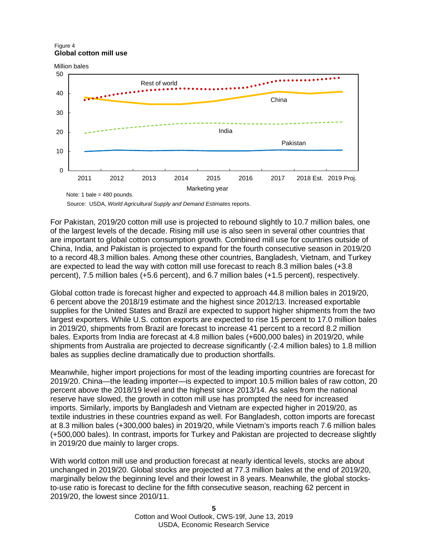Figure 4 **Global cotton mill use**



Source: USDA, *World Agricultural Supply and Demand Estimates* reports.

For Pakistan, 2019/20 cotton mill use is projected to rebound slightly to 10.7 million bales, one of the largest levels of the decade. Rising mill use is also seen in several other countries that are important to global cotton consumption growth. Combined mill use for countries outside of China, India, and Pakistan is projected to expand for the fourth consecutive season in 2019/20 to a record 48.3 million bales. Among these other countries, Bangladesh, Vietnam, and Turkey are expected to lead the way with cotton mill use forecast to reach 8.3 million bales (+3.8 percent), 7.5 million bales (+5.6 percent), and 6.7 million bales (+1.5 percent), respectively.

Global cotton trade is forecast higher and expected to approach 44.8 million bales in 2019/20, 6 percent above the 2018/19 estimate and the highest since 2012/13. Increased exportable supplies for the United States and Brazil are expected to support higher shipments from the two largest exporters. While U.S. cotton exports are expected to rise 15 percent to 17.0 million bales in 2019/20, shipments from Brazil are forecast to increase 41 percent to a record 8.2 million bales. Exports from India are forecast at 4.8 million bales (+600,000 bales) in 2019/20, while shipments from Australia are projected to decrease significantly (-2.4 million bales) to 1.8 million bales as supplies decline dramatically due to production shortfalls.

Meanwhile, higher import projections for most of the leading importing countries are forecast for 2019/20. China—the leading importer—is expected to import 10.5 million bales of raw cotton, 20 percent above the 2018/19 level and the highest since 2013/14. As sales from the national reserve have slowed, the growth in cotton mill use has prompted the need for increased imports. Similarly, imports by Bangladesh and Vietnam are expected higher in 2019/20, as textile industries in these countries expand as well. For Bangladesh, cotton imports are forecast at 8.3 million bales (+300,000 bales) in 2019/20, while Vietnam's imports reach 7.6 million bales (+500,000 bales). In contrast, imports for Turkey and Pakistan are projected to decrease slightly in 2019/20 due mainly to larger crops.

With world cotton mill use and production forecast at nearly identical levels, stocks are about unchanged in 2019/20. Global stocks are projected at 77.3 million bales at the end of 2019/20, marginally below the beginning level and their lowest in 8 years. Meanwhile, the global stocksto-use ratio is forecast to decline for the fifth consecutive season, reaching 62 percent in 2019/20, the lowest since 2010/11.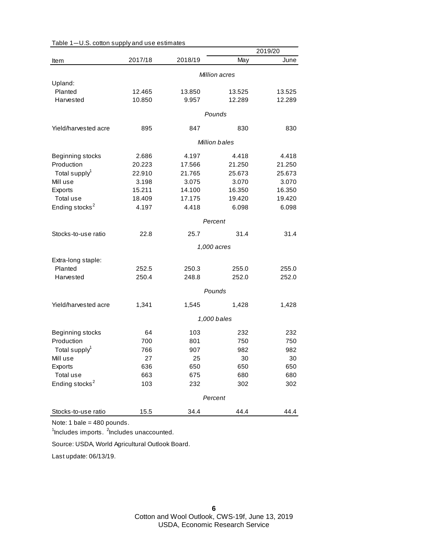|                            |         |         |               | 2019/20 |
|----------------------------|---------|---------|---------------|---------|
| Item                       | 2017/18 | 2018/19 | May           | June    |
|                            |         |         | Million acres |         |
| Upland:                    |         |         |               |         |
| Planted                    | 12.465  | 13.850  | 13.525        | 13.525  |
| Harvested                  | 10.850  | 9.957   | 12.289        | 12.289  |
|                            |         |         | Pounds        |         |
| Yield/harvested acre       | 895     | 847     | 830           | 830     |
|                            |         |         | Million bales |         |
|                            |         |         |               |         |
| Beginning stocks           | 2.686   | 4.197   | 4.418         | 4.418   |
| Production                 | 20.223  | 17.566  | 21.250        | 21.250  |
| Total supply <sup>1</sup>  | 22.910  | 21.765  | 25.673        | 25.673  |
| Mill use                   | 3.198   | 3.075   | 3.070         | 3.070   |
| Exports                    | 15.211  | 14.100  | 16.350        | 16.350  |
| Total use                  | 18.409  | 17.175  | 19.420        | 19.420  |
| Ending stocks <sup>2</sup> | 4.197   | 4.418   | 6.098         | 6.098   |
|                            |         |         | Percent       |         |
| Stocks-to-use ratio        | 22.8    | 25.7    | 31.4          | 31.4    |
|                            |         |         | 1,000 acres   |         |
| Extra-long staple:         |         |         |               |         |
| Planted                    | 252.5   | 250.3   | 255.0         | 255.0   |
| Harvested                  | 250.4   | 248.8   | 252.0         | 252.0   |
|                            |         |         |               |         |
|                            |         |         | Pounds        |         |
| Yield/harvested acre       | 1,341   | 1,545   | 1,428         | 1,428   |
|                            |         |         | 1,000 bales   |         |
| Beginning stocks           | 64      | 103     | 232           | 232     |
| Production                 | 700     | 801     | 750           | 750     |
| Total supply <sup>1</sup>  | 766     | 907     | 982           | 982     |
| Mill use                   | 27      | 25      | 30            | 30      |
| Exports                    | 636     | 650     | 650           | 650     |
| Total use                  | 663     | 675     | 680           | 680     |
| Ending stocks <sup>2</sup> | 103     | 232     | 302           | 302     |
|                            |         |         | Percent       |         |
| Stocks-to-use ratio        | 15.5    | 34.4    | 44.4          | 44.4    |
|                            |         |         |               |         |

| Table 1-U.S. cotton supply and use estimates |  |  |  |
|----------------------------------------------|--|--|--|
|----------------------------------------------|--|--|--|

<sup>1</sup>Includes imports. <sup>2</sup>Includes unaccounted.

Source: USDA, World Agricultural Outlook Board.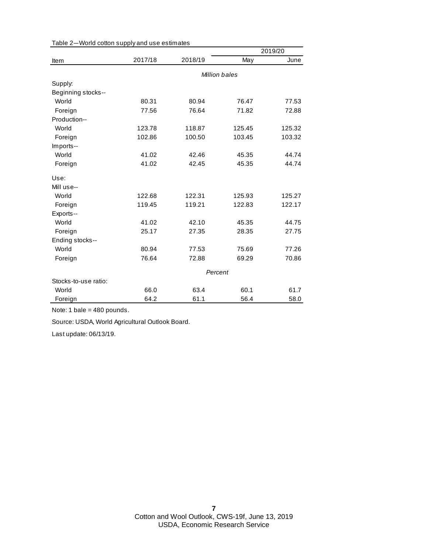|                      |         |         |               | 2019/20 |
|----------------------|---------|---------|---------------|---------|
| Item                 | 2017/18 | 2018/19 | May           | June    |
|                      |         |         | Million bales |         |
| Supply:              |         |         |               |         |
| Beginning stocks--   |         |         |               |         |
| World                | 80.31   | 80.94   | 76.47         | 77.53   |
| Foreign              | 77.56   | 76.64   | 71.82         | 72.88   |
| Production--         |         |         |               |         |
| World                | 123.78  | 118.87  | 125.45        | 125.32  |
| Foreign              | 102.86  | 100.50  | 103.45        | 103.32  |
| Imports--            |         |         |               |         |
| World                | 41.02   | 42.46   | 45.35         | 44.74   |
| Foreign              | 41.02   | 42.45   | 45.35         | 44.74   |
| Use:                 |         |         |               |         |
| Mill use--           |         |         |               |         |
| World                | 122.68  | 122.31  | 125.93        | 125.27  |
| Foreign              | 119.45  | 119.21  | 122.83        | 122.17  |
| Exports--            |         |         |               |         |
| World                | 41.02   | 42.10   | 45.35         | 44.75   |
| Foreign              | 25.17   | 27.35   | 28.35         | 27.75   |
| Ending stocks--      |         |         |               |         |
| World                | 80.94   | 77.53   | 75.69         | 77.26   |
| Foreign              | 76.64   | 72.88   | 69.29         | 70.86   |
|                      | Percent |         |               |         |
| Stocks-to-use ratio: |         |         |               |         |
| World                | 66.0    | 63.4    | 60.1          | 61.7    |
| Foreign              | 64.2    | 61.1    | 56.4          | 58.0    |

#### Table 2—World cotton supply and use estimates

Note: 1 bale = 480 pounds.

Source: USDA, World Agricultural Outlook Board.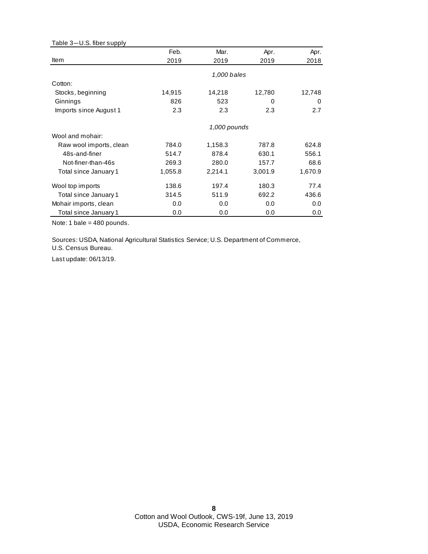| Table 3-U.S. fiber supply |         |              |         |         |
|---------------------------|---------|--------------|---------|---------|
|                           | Feb.    | Mar.         | Apr.    | Apr.    |
| Item                      | 2019    | 2019         | 2019    | 2018    |
|                           |         | 1,000 bales  |         |         |
| Cotton:                   |         |              |         |         |
| Stocks, beginning         | 14,915  | 14,218       | 12,780  | 12,748  |
| Ginnings                  | 826     | 523          | 0       | 0       |
| Imports since August 1    | 2.3     | 2.3          | 2.3     | 2.7     |
|                           |         | 1,000 pounds |         |         |
| Wool and mohair:          |         |              |         |         |
| Raw wool imports, clean   | 784.0   | 1,158.3      | 787.8   | 624.8   |
| 48s-and-finer             | 514.7   | 878.4        | 630.1   | 556.1   |
| Not-finer-than-46s        | 269.3   | 280.0        | 157.7   | 68.6    |
| Total since January 1     | 1,055.8 | 2,214.1      | 3,001.9 | 1,670.9 |
| Wool top imports          | 138.6   | 197.4        | 180.3   | 77.4    |
| Total since January 1     | 314.5   | 511.9        | 692.2   | 436.6   |
| Mohair imports, clean     | 0.0     | 0.0          | 0.0     | 0.0     |
| Total since January 1     | 0.0     | 0.0          | 0.0     | 0.0     |

Sources: USDA, National Agricultural Statistics Service; U.S. Department of Commerce,

U.S. Census Bureau.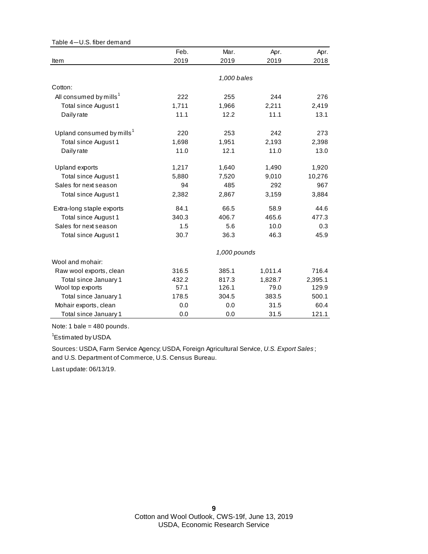| Table 4-U.S. fiber demand             |       |              |         |         |
|---------------------------------------|-------|--------------|---------|---------|
|                                       | Feb.  | Mar.         | Apr.    | Apr.    |
| Item                                  | 2019  | 2019         | 2019    | 2018    |
|                                       |       |              |         |         |
|                                       |       | 1,000 bales  |         |         |
| Cotton:                               |       |              |         |         |
| All consumed by mills <sup>1</sup>    | 222   | 255          | 244     | 276     |
| Total since August 1                  | 1,711 | 1,966        | 2,211   | 2,419   |
| Daily rate                            | 11.1  | 12.2         | 11.1    | 13.1    |
| Upland consumed by mills <sup>1</sup> | 220   | 253          | 242     | 273     |
| Total since August 1                  | 1,698 | 1,951        | 2,193   | 2,398   |
| Daily rate                            | 11.0  | 12.1         | 11.0    | 13.0    |
| Upland exports                        | 1,217 | 1,640        | 1,490   | 1,920   |
| Total since August 1                  | 5,880 | 7,520        | 9,010   | 10,276  |
| Sales for next season                 | 94    | 485          | 292     | 967     |
| Total since August 1                  | 2,382 | 2,867        | 3,159   | 3,884   |
| Extra-long staple exports             | 84.1  | 66.5         | 58.9    | 44.6    |
| Total since August 1                  | 340.3 | 406.7        | 465.6   | 477.3   |
| Sales for next season                 | 1.5   | 5.6          | 10.0    | 0.3     |
| Total since August 1                  | 30.7  | 36.3         | 46.3    | 45.9    |
|                                       |       | 1,000 pounds |         |         |
| Wool and mohair:                      |       |              |         |         |
| Raw wool exports, clean               | 316.5 | 385.1        | 1,011.4 | 716.4   |
| Total since January 1                 | 432.2 | 817.3        | 1,828.7 | 2,395.1 |
| Wool top exports                      | 57.1  | 126.1        | 79.0    | 129.9   |
| Total since January 1                 | 178.5 | 304.5        | 383.5   | 500.1   |
| Mohair exports, clean                 | 0.0   | 0.0          | 31.5    | 60.4    |
| Total since January 1                 | 0.0   | 0.0          | 31.5    | 121.1   |

<sup>1</sup>Estimated by USDA.

and U.S. Department of Commerce, U.S. Census Bureau. Sources: USDA, Farm Service Agency; USDA, Foreign Agricultural Service, *U.S. Export Sales* ;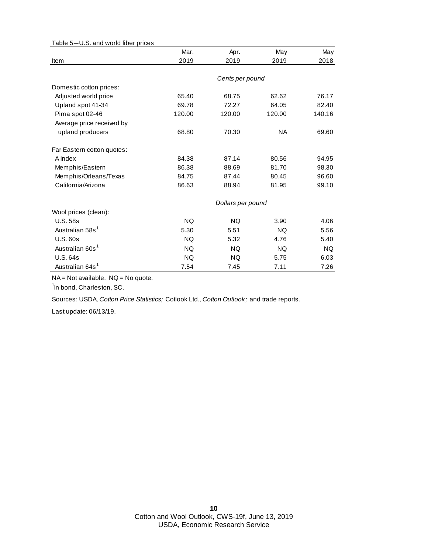| rable J-0.3. and wond much prices |           |                   |           |           |
|-----------------------------------|-----------|-------------------|-----------|-----------|
|                                   | Mar.      | Apr.              | May       | May       |
| Item                              | 2019      | 2019              | 2019      | 2018      |
|                                   |           |                   |           |           |
|                                   |           | Cents per pound   |           |           |
| Domestic cotton prices:           |           |                   |           |           |
| Adjusted world price              | 65.40     | 68.75             | 62.62     | 76.17     |
| Upland spot 41-34                 | 69.78     | 72.27             | 64.05     | 82.40     |
| Pima spot 02-46                   | 120.00    | 120.00            | 120.00    | 140.16    |
| Average price received by         |           |                   |           |           |
| upland producers                  | 68.80     | 70.30             | NA.       | 69.60     |
| Far Eastern cotton quotes:        |           |                   |           |           |
| A Index                           | 84.38     | 87.14             | 80.56     | 94.95     |
| Memphis/Eastern                   | 86.38     | 88.69             | 81.70     | 98.30     |
| Memphis/Orleans/Texas             | 84.75     | 87.44             | 80.45     | 96.60     |
| California/Arizona                | 86.63     | 88.94             | 81.95     | 99.10     |
|                                   |           | Dollars per pound |           |           |
| Wool prices (clean):              |           |                   |           |           |
| <b>U.S. 58s</b>                   | <b>NQ</b> | <b>NQ</b>         | 3.90      | 4.06      |
| Australian 58s <sup>1</sup>       | 5.30      | 5.51              | <b>NQ</b> | 5.56      |
| <b>U.S. 60s</b>                   | <b>NQ</b> | 5.32              | 4.76      | 5.40      |
| Australian 60s <sup>1</sup>       | <b>NQ</b> | <b>NQ</b>         | <b>NQ</b> | <b>NQ</b> |
| <b>U.S. 64s</b>                   | NQ.       | NQ.               | 5.75      | 6.03      |
| Australian 64s <sup>1</sup>       | 7.54      | 7.45              | 7.11      | 7.26      |

Table 5—U.S. and world fiber prices

NA = Not available. NQ = No quote.

<sup>1</sup>In bond, Charleston, SC.

Sources: USDA, *Cotton Price Statistics;* Cotlook Ltd., *Cotton Outlook;* and trade reports.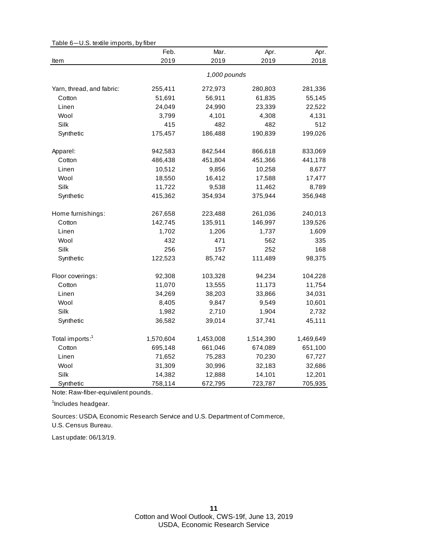|                             | Feb.      | Mar.         | Apr.      | Apr.      |
|-----------------------------|-----------|--------------|-----------|-----------|
| Item                        | 2019      | 2019         | 2019      | 2018      |
|                             |           | 1,000 pounds |           |           |
| Yarn, thread, and fabric:   | 255,411   | 272,973      | 280,803   | 281,336   |
| Cotton                      | 51,691    | 56,911       | 61,835    | 55,145    |
| Linen                       | 24,049    | 24,990       | 23,339    | 22,522    |
| Wool                        | 3,799     | 4,101        | 4,308     | 4,131     |
| Silk                        | 415       | 482          | 482       | 512       |
| Synthetic                   | 175,457   | 186,488      | 190,839   | 199,026   |
| Apparel:                    | 942,583   | 842,544      | 866,618   | 833,069   |
| Cotton                      | 486,438   | 451,804      | 451,366   | 441,178   |
| Linen                       | 10,512    | 9,856        | 10,258    | 8,677     |
| Wool                        | 18,550    | 16,412       | 17,588    | 17,477    |
| Silk                        | 11,722    | 9,538        | 11,462    | 8,789     |
| Synthetic                   | 415,362   | 354,934      | 375,944   | 356,948   |
| Home furnishings:           | 267,658   | 223,488      | 261,036   | 240,013   |
| Cotton                      | 142,745   | 135,911      | 146,997   | 139,526   |
| Linen                       | 1,702     | 1,206        | 1,737     | 1,609     |
| Wool                        | 432       | 471          | 562       | 335       |
| Silk                        | 256       | 157          | 252       | 168       |
| Synthetic                   | 122,523   | 85,742       | 111,489   | 98,375    |
| Floor coverings:            | 92,308    | 103,328      | 94,234    | 104,228   |
| Cotton                      | 11,070    | 13,555       | 11,173    | 11,754    |
| Linen                       | 34,269    | 38,203       | 33,866    | 34,031    |
| Wool                        | 8,405     | 9,847        | 9,549     | 10,601    |
| Silk                        | 1,982     | 2,710        | 1,904     | 2,732     |
| Synthetic                   | 36,582    | 39,014       | 37,741    | 45,111    |
| Total imports: <sup>1</sup> | 1,570,604 | 1,453,008    | 1,514,390 | 1,469,649 |
| Cotton                      | 695,148   | 661,046      | 674,089   | 651,100   |
| Linen                       | 71,652    | 75,283       | 70,230    | 67,727    |
| Wool                        | 31,309    | 30,996       | 32,183    | 32,686    |
| Silk                        | 14,382    | 12,888       | 14,101    | 12,201    |
| Synthetic                   | 758,114   | 672,795      | 723,787   | 705,935   |

Table 6—U.S. textile imports, by fiber

Note: Raw-fiber-equivalent pounds.

<sup>1</sup>Includes headgear.

Sources: USDA, Economic Research Service and U.S. Department of Commerce,

U.S. Census Bureau.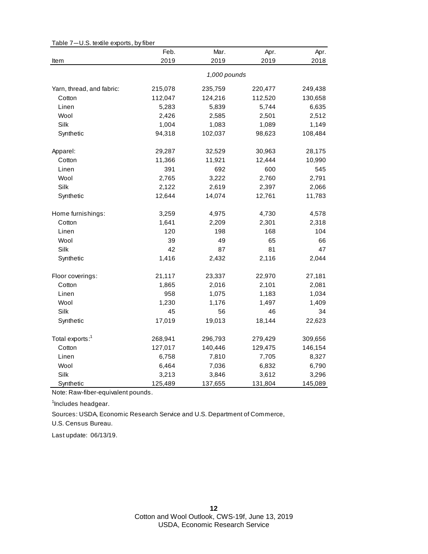|                             | Feb.    | Mar.         | Apr.    | Apr.    |
|-----------------------------|---------|--------------|---------|---------|
| Item                        | 2019    | 2019         | 2019    | 2018    |
|                             |         | 1,000 pounds |         |         |
| Yarn, thread, and fabric:   | 215,078 | 235,759      | 220,477 | 249,438 |
| Cotton                      | 112,047 | 124,216      | 112,520 | 130,658 |
| Linen                       | 5,283   | 5,839        | 5,744   | 6,635   |
| Wool                        | 2,426   | 2,585        | 2,501   | 2,512   |
| Silk                        | 1,004   | 1,083        | 1,089   | 1,149   |
| Synthetic                   | 94,318  | 102,037      | 98,623  | 108,484 |
| Apparel:                    | 29,287  | 32,529       | 30,963  | 28,175  |
| Cotton                      | 11,366  | 11,921       | 12,444  | 10,990  |
| Linen                       | 391     | 692          | 600     | 545     |
| Wool                        | 2,765   | 3,222        | 2,760   | 2,791   |
| Silk                        | 2,122   | 2,619        | 2,397   | 2,066   |
| Synthetic                   | 12,644  | 14,074       | 12,761  | 11,783  |
| Home furnishings:           | 3,259   | 4,975        | 4,730   | 4,578   |
| Cotton                      | 1,641   | 2,209        | 2,301   | 2,318   |
| Linen                       | 120     | 198          | 168     | 104     |
| Wool                        | 39      | 49           | 65      | 66      |
| Silk                        | 42      | 87           | 81      | 47      |
| Synthetic                   | 1,416   | 2,432        | 2,116   | 2,044   |
| Floor coverings:            | 21,117  | 23,337       | 22,970  | 27,181  |
| Cotton                      | 1,865   | 2,016        | 2,101   | 2,081   |
| Linen                       | 958     | 1,075        | 1,183   | 1,034   |
| Wool                        | 1,230   | 1,176        | 1,497   | 1,409   |
| Silk                        | 45      | 56           | 46      | 34      |
| Synthetic                   | 17,019  | 19,013       | 18,144  | 22,623  |
| Total exports: <sup>1</sup> | 268,941 | 296,793      | 279,429 | 309,656 |
| Cotton                      | 127,017 | 140,446      | 129,475 | 146,154 |
| Linen                       | 6,758   | 7,810        | 7,705   | 8,327   |
| Wool                        | 6,464   | 7,036        | 6,832   | 6,790   |
| Silk                        | 3,213   | 3,846        | 3,612   | 3,296   |
| Synthetic                   | 125,489 | 137,655      | 131,804 | 145,089 |

Table 7—U.S. textile exports, by fiber

Note: Raw-fiber-equivalent pounds.

<sup>1</sup>Includes headgear.

U.S. Census Bureau. Sources: USDA, Economic Research Service and U.S. Department of Commerce,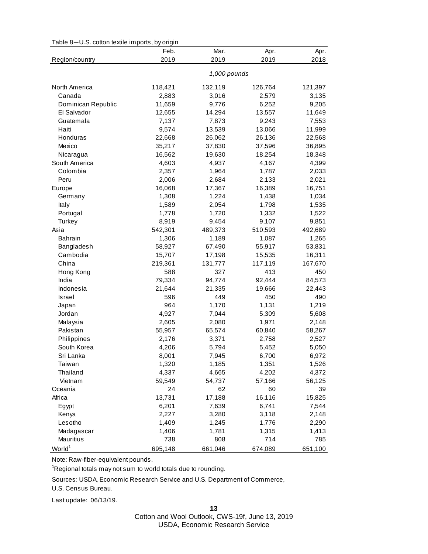| Table 8-U.S. cotton textile imports, by origin |  |  |  |  |  |
|------------------------------------------------|--|--|--|--|--|
|------------------------------------------------|--|--|--|--|--|

|                    | Feb.         | Mar.    | Apr.    | Apr.    |  |
|--------------------|--------------|---------|---------|---------|--|
| Region/country     | 2019         | 2019    | 2019    | 2018    |  |
|                    | 1,000 pounds |         |         |         |  |
|                    |              |         |         |         |  |
| North America      | 118,421      | 132,119 | 126,764 | 121,397 |  |
| Canada             | 2,883        | 3,016   | 2,579   | 3,135   |  |
| Dominican Republic | 11,659       | 9,776   | 6,252   | 9,205   |  |
| El Salvador        | 12,655       | 14,294  | 13,557  | 11,649  |  |
| Guatemala          | 7,137        | 7,873   | 9,243   | 7,553   |  |
| Haiti              | 9,574        | 13,539  | 13,066  | 11,999  |  |
| Honduras           | 22,668       | 26,062  | 26,136  | 22,568  |  |
| Mexico             | 35,217       | 37,830  | 37,596  | 36,895  |  |
| Nicaragua          | 16,562       | 19,630  | 18,254  | 18,348  |  |
| South America      | 4,603        | 4,937   | 4,167   | 4,399   |  |
| Colombia           | 2,357        | 1,964   | 1,787   | 2,033   |  |
| Peru               | 2,006        | 2,684   | 2,133   | 2,021   |  |
| Europe             | 16,068       | 17,367  | 16,389  | 16,751  |  |
| Germany            | 1,308        | 1,224   | 1,438   | 1,034   |  |
| Italy              | 1,589        | 2,054   | 1,798   | 1,535   |  |
| Portugal           | 1,778        | 1,720   | 1,332   | 1,522   |  |
| Turkey             | 8,919        | 9,454   | 9,107   | 9,851   |  |
| Asia               | 542,301      | 489,373 | 510,593 | 492,689 |  |
| <b>Bahrain</b>     | 1,306        | 1,189   | 1,087   | 1,265   |  |
| Bangladesh         | 58,927       | 67,490  | 55,917  | 53,831  |  |
| Cambodia           | 15,707       | 17,198  | 15,535  | 16,311  |  |
| China              | 219,361      | 131,777 | 117,119 | 167,670 |  |
| Hong Kong          | 588          | 327     | 413     | 450     |  |
| India              | 79,334       | 94,774  | 92,444  | 84,573  |  |
| Indonesia          | 21,644       | 21,335  | 19,666  | 22,443  |  |
|                    |              | 449     | 450     | 490     |  |
| Israel             | 596          |         |         |         |  |
| Japan              | 964          | 1,170   | 1,131   | 1,219   |  |
| Jordan             | 4,927        | 7,044   | 5,309   | 5,608   |  |
| Malaysia           | 2,605        | 2,080   | 1,971   | 2,148   |  |
| Pakistan           | 55,957       | 65,574  | 60,840  | 58,267  |  |
| Philippines        | 2,176        | 3,371   | 2,758   | 2,527   |  |
| South Korea        | 4,206        | 5,794   | 5,452   | 5,050   |  |
| Sri Lanka          | 8,001        | 7,945   | 6,700   | 6,972   |  |
| Taiwan             | 1,320        | 1,185   | 1,351   | 1,526   |  |
| Thailand           | 4,337        | 4,665   | 4,202   | 4,372   |  |
| Vietnam            | 59,549       | 54,737  | 57,166  | 56,125  |  |
| Oceania            | 24           | 62      | 60      | 39      |  |
| Africa             | 13,731       | 17,188  | 16,116  | 15,825  |  |
| Egypt              | 6,201        | 7,639   | 6,741   | 7,544   |  |
| Kenya              | 2,227        | 3,280   | 3,118   | 2,148   |  |
| Lesotho            | 1,409        | 1,245   | 1,776   | 2,290   |  |
| Madagascar         | 1,406        | 1,781   | 1,315   | 1,413   |  |
| Mauritius          | 738          | 808     | 714     | 785     |  |
| World <sup>1</sup> | 695,148      | 661,046 | 674,089 | 651,100 |  |

Note: Raw-fiber-equivalent pounds.

<sup>1</sup>Regional totals may not sum to world totals due to rounding.

Sources: USDA, Economic Research Service and U.S. Department of Commerce,

U.S. Census Bureau.

Last update: 06/13/19.

**13**

Cotton and Wool Outlook, CWS-19f, June 13, 2019 USDA, Economic Research Service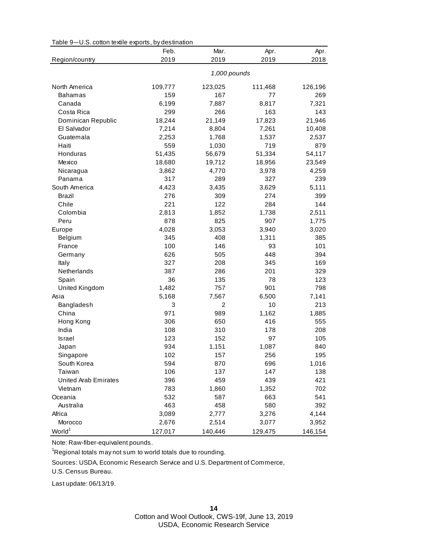| Table 9-U.S. cotton textile exports, by destination |  |
|-----------------------------------------------------|--|
|-----------------------------------------------------|--|

|                      | Feb.    | Mar.         | Apr.    | Apr.    |
|----------------------|---------|--------------|---------|---------|
| Region/country       | 2019    | 2019         | 2019    | 2018    |
|                      |         | 1,000 pounds |         |         |
| North America        | 109,777 | 123,025      | 111,468 | 126,196 |
| <b>Bahamas</b>       | 159     | 167          | 77      | 269     |
| Canada               | 6,199   | 7,887        | 8,817   | 7,321   |
| Costa Rica           | 299     | 266          | 163     | 143     |
| Dominican Republic   | 18,244  | 21,149       | 17,823  | 21,946  |
| El Salvador          | 7,214   | 8,804        | 7,261   | 10,408  |
| Guatemala            | 2,253   | 1,768        | 1,537   | 2,537   |
| Haiti                | 559     | 1,030        | 719     | 879     |
| Honduras             | 51,435  | 56,679       | 51,334  | 54,117  |
| Mexico               | 18,680  | 19,712       | 18,956  | 23,549  |
| Nicaragua            | 3,862   | 4,770        | 3,978   | 4,259   |
| Panama               | 317     | 289          | 327     | 239     |
| South America        | 4,423   | 3,435        | 3,629   | 5,111   |
| Brazil               | 276     | 309          | 274     | 399     |
| Chile                | 221     | 122          | 284     | 144     |
| Colombia             | 2,813   | 1,852        | 1,738   | 2,511   |
| Peru                 | 878     | 825          | 907     | 1,775   |
| Europe               | 4,028   | 3,053        | 3,940   | 3,020   |
| Belgium              | 345     | 408          | 1,311   | 385     |
| France               | 100     | 146          | 93      | 101     |
| Germany              | 626     | 505          | 448     | 394     |
| Italy                | 327     | 208          | 345     | 169     |
| Netherlands          | 387     | 286          | 201     | 329     |
| Spain                | 36      | 135          | 78      | 123     |
| United Kingdom       | 1,482   | 757          | 901     | 798     |
| Asia                 | 5,168   | 7,567        | 6,500   | 7,141   |
| Bangladesh           | 3       | 2            | 10      | 213     |
| China                | 971     | 989          | 1,162   | 1,885   |
| Hong Kong            | 306     | 650          | 416     | 555     |
| India                | 108     | 310          | 178     | 208     |
| <b>Israel</b>        | 123     | 152          | 97      | 105     |
| Japan                | 934     | 1,151        | 1,087   | 840     |
| Singapore            | 102     | 157          | 256     | 195     |
| South Korea          | 594     | 870          | 696     | 1,016   |
| Taiwan               | 106     | 137          | 147     | 138     |
| United Arab Emirates | 396     | 459          | 439     | 421     |
| Vietnam              | 783     | 1,860        | 1,352   | 702     |
| Oceania              | 532     | 587          | 663     | 541     |
| Australia            | 463     | 458          | 580     | 392     |
| Africa               | 3,089   | 2,777        | 3,276   | 4,144   |
| Morocco              | 2,676   | 2,514        | 3,077   | 3,952   |
| World <sup>1</sup>   | 127,017 | 140,446      | 129,475 | 146,154 |

Note: Raw-fiber-equivalent pounds.

<sup>1</sup>Regional totals may not sum to world totals due to rounding.

Sources: USDA, Economic Research Service and U.S. Department of Commerce,

U.S. Census Bureau.

Last update: 06/13/19.

Cotton and Wool Outlook, CWS-19f, June 13, 2019 USDA, Economic Research Service